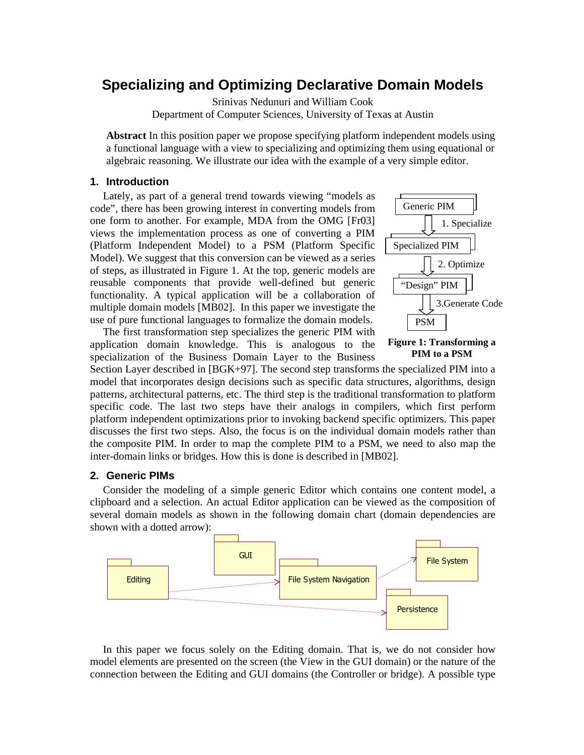# **Specializing and Optimizing Declarative Domain Models**

Srinivas Nedunuri and William Cook Department of Computer Sciences, University of Texas at Austin

**Abstract** In this position paper we propose specifying platform independent models using a functional language with a view to specializing and optimizing them using equational or algebraic reasoning. We illustrate our idea with the example of a very simple editor.

## **1. Introduction**

Lately, as part of a general trend towards viewing "models as code", there has been growing interest in converting models from one form to another. For example, MDA from the OMG [Fr03] views the implementation process as one of converting a PIM (Platform Independent Model) to a PSM (Platform Specific Model). We suggest that this conversion can be viewed as a series of steps, as illustrated in Figure 1. At the top, generic models are reusable components that provide well-defined but generic functionality. A typical application will be a collaboration of multiple domain models [MB02]. In this paper we investigate the use of pure functional languages to formalize the domain models.

The first transformation step specializes the generic PIM with application domain knowledge. This is analogous to the specialization of the Business Domain Layer to the Business



**Figure 1: Transforming a PIM to a PSM** 

Section Layer described in [BGK+97]. The second step transforms the specialized PIM into a model that incorporates design decisions such as specific data structures, algorithms, design patterns, architectural patterns, etc. The third step is the traditional transformation to platform specific code. The last two steps have their analogs in compilers, which first perform platform independent optimizations prior to invoking backend specific optimizers. This paper discusses the first two steps. Also, the focus is on the individual domain models rather than the composite PIM. In order to map the complete PIM to a PSM, we need to also map the inter-domain links or bridges. How this is done is described in [MB02].

# **2. Generic PIMs**

Consider the modeling of a simple generic Editor which contains one content model, a clipboard and a selection. An actual Editor application can be viewed as the composition of several domain models as shown in the following domain chart (domain dependencies are shown with a dotted arrow):



In this paper we focus solely on the Editing domain. That is, we do not consider how model elements are presented on the screen (the View in the GUI domain) or the nature of the connection between the Editing and GUI domains (the Controller or bridge). A possible type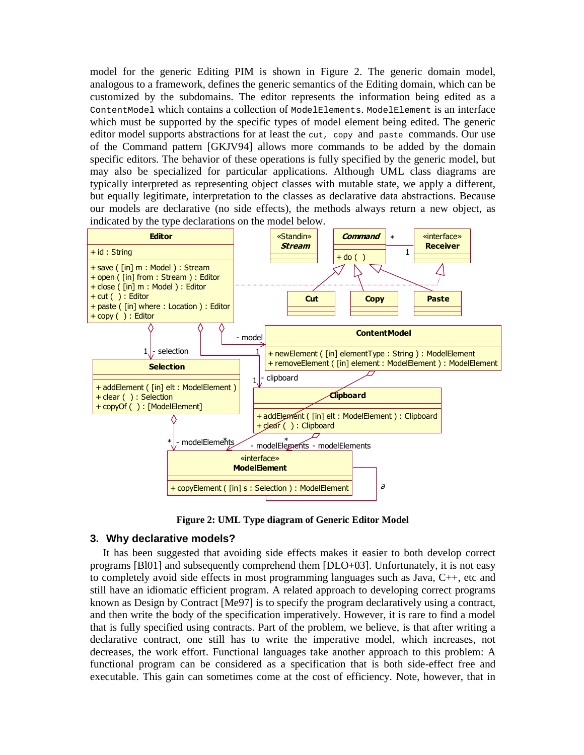model for the generic Editing PIM is shown in Figure 2. The generic domain model, analogous to a framework, defines the generic semantics of the Editing domain, which can be customized by the subdomains. The editor represents the information being edited as a ContentModel which contains a collection of ModelElements. ModelElement is an interface which must be supported by the specific types of model element being edited. The generic editor model supports abstractions for at least the cut, copy and paste commands. Our use of the Command pattern [GKJV94] allows more commands to be added by the domain specific editors. The behavior of these operations is fully specified by the generic model, but may also be specialized for particular applications. Although UML class diagrams are typically interpreted as representing object classes with mutable state, we apply a different, but equally legitimate, interpretation to the classes as declarative data abstractions. Because our models are declarative (no side effects), the methods always return a new object, as indicated by the type declarations on the model below.



**Figure 2: UML Type diagram of Generic Editor Model** 

# **3. Why declarative models?**

It has been suggested that avoiding side effects makes it easier to both develop correct programs [Bl01] and subsequently comprehend them [DLO+03]. Unfortunately, it is not easy to completely avoid side effects in most programming languages such as Java, C++, etc and still have an idiomatic efficient program. A related approach to developing correct programs known as Design by Contract [Me97] is to specify the program declaratively using a contract, and then write the body of the specification imperatively. However, it is rare to find a model that is fully specified using contracts. Part of the problem, we believe, is that after writing a declarative contract, one still has to write the imperative model, which increases, not decreases, the work effort. Functional languages take another approach to this problem: A functional program can be considered as a specification that is both side-effect free and executable. This gain can sometimes come at the cost of efficiency. Note, however, that in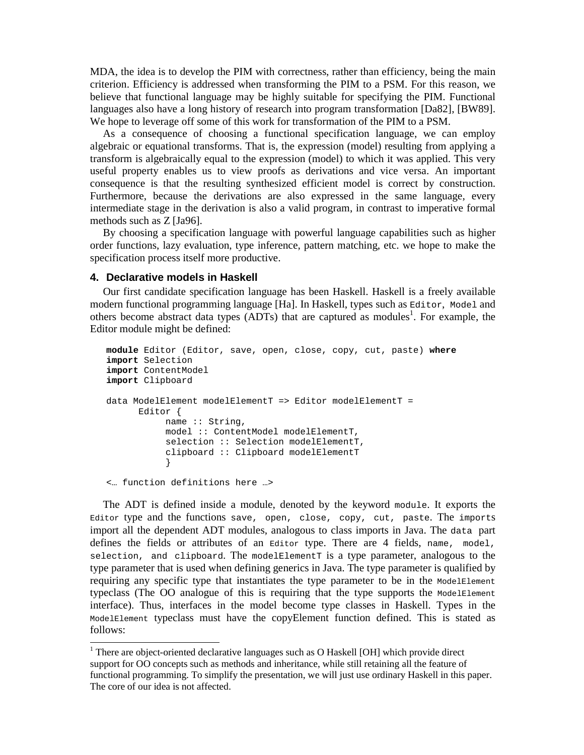MDA, the idea is to develop the PIM with correctness, rather than efficiency, being the main criterion. Efficiency is addressed when transforming the PIM to a PSM. For this reason, we believe that functional language may be highly suitable for specifying the PIM. Functional languages also have a long history of research into program transformation [Da82], [BW89]. We hope to leverage off some of this work for transformation of the PIM to a PSM.

As a consequence of choosing a functional specification language, we can employ algebraic or equational transforms. That is, the expression (model) resulting from applying a transform is algebraically equal to the expression (model) to which it was applied. This very useful property enables us to view proofs as derivations and vice versa. An important consequence is that the resulting synthesized efficient model is correct by construction. Furthermore, because the derivations are also expressed in the same language, every intermediate stage in the derivation is also a valid program, in contrast to imperative formal methods such as Z [Ja96].

By choosing a specification language with powerful language capabilities such as higher order functions, lazy evaluation, type inference, pattern matching, etc. we hope to make the specification process itself more productive.

# **4. Declarative models in Haskell**

-

Our first candidate specification language has been Haskell. Haskell is a freely available modern functional programming language [Ha]. In Haskell, types such as Editor, Model and others become abstract data types  $(ADTs)$  that are captured as modules<sup>1</sup>. For example, the Editor module might be defined:

```
module Editor (Editor, save, open, close, copy, cut, paste) where
import Selection 
import ContentModel 
import Clipboard 
data ModelElement modelElementT => Editor modelElementT = 
       Editor { 
            name :: String, 
            model :: ContentModel modelElementT, 
           selection :: Selection modelElementT,
            clipboard :: Clipboard modelElementT 
 } 
<… function definitions here …>
```
The ADT is defined inside a module, denoted by the keyword module. It exports the Editor type and the functions save, open, close, copy, cut, paste. The imports import all the dependent ADT modules, analogous to class imports in Java. The data part defines the fields or attributes of an Editor type. There are 4 fields, name, model, selection, and clipboard. The modelElementT is a type parameter, analogous to the type parameter that is used when defining generics in Java. The type parameter is qualified by requiring any specific type that instantiates the type parameter to be in the ModelElement typeclass (The OO analogue of this is requiring that the type supports the ModelElement interface). Thus, interfaces in the model become type classes in Haskell. Types in the ModelElement typeclass must have the copyElement function defined. This is stated as follows:

<sup>&</sup>lt;sup>1</sup> There are object-oriented declarative languages such as O Haskell [OH] which provide direct support for OO concepts such as methods and inheritance, while still retaining all the feature of functional programming. To simplify the presentation, we will just use ordinary Haskell in this paper. The core of our idea is not affected.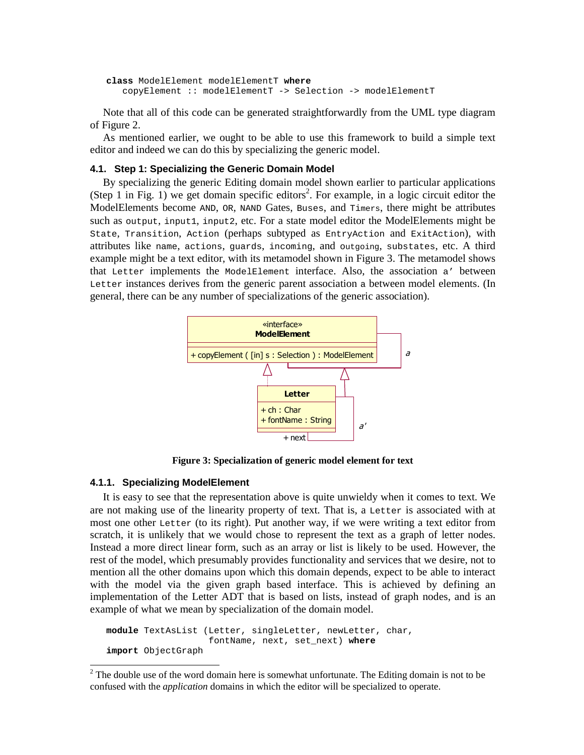```
class ModelElement modelElementT where
    copyElement :: modelElementT -> Selection -> modelElementT
```
Note that all of this code can be generated straightforwardly from the UML type diagram of Figure 2.

As mentioned earlier, we ought to be able to use this framework to build a simple text editor and indeed we can do this by specializing the generic model.

## **4.1. Step 1: Specializing the Generic Domain Model**

By specializing the generic Editing domain model shown earlier to particular applications (Step 1 in Fig. 1) we get domain specific editors<sup>2</sup>. For example, in a logic circuit editor the ModelElements become AND, OR, NAND Gates, Buses, and Timers, there might be attributes such as output, input1, input2, etc. For a state model editor the ModelElements might be State, Transition, Action (perhaps subtyped as EntryAction and ExitAction), with attributes like name, actions, guards, incoming, and outgoing, substates, etc. A third example might be a text editor, with its metamodel shown in Figure 3. The metamodel shows that Letter implements the ModelElement interface. Also, the association a' between Letter instances derives from the generic parent association a between model elements. (In general, there can be any number of specializations of the generic association).



**Figure 3: Specialization of generic model element for text** 

#### **4.1.1. Specializing ModelElement**

-

It is easy to see that the representation above is quite unwieldy when it comes to text. We are not making use of the linearity property of text. That is, a Letter is associated with at most one other Letter (to its right). Put another way, if we were writing a text editor from scratch, it is unlikely that we would chose to represent the text as a graph of letter nodes. Instead a more direct linear form, such as an array or list is likely to be used. However, the rest of the model, which presumably provides functionality and services that we desire, not to mention all the other domains upon which this domain depends, expect to be able to interact with the model via the given graph based interface. This is achieved by defining an implementation of the Letter ADT that is based on lists, instead of graph nodes, and is an example of what we mean by specialization of the domain model.

**module** TextAsList (Letter, singleLetter, newLetter, char, fontName, next, set\_next) **where import** ObjectGraph

 $2^2$  The double use of the word domain here is somewhat unfortunate. The Editing domain is not to be confused with the *application* domains in which the editor will be specialized to operate.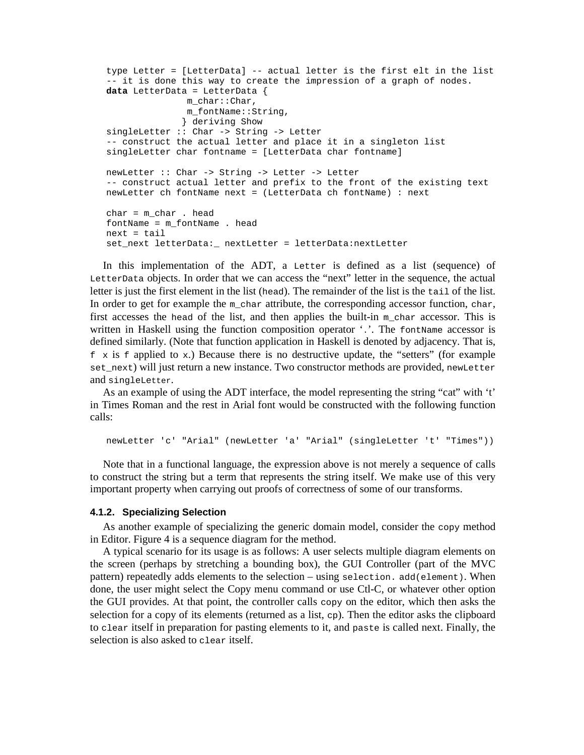```
type Letter = [LetterData] -- actual letter is the first elt in the list 
-- it is done this way to create the impression of a graph of nodes. 
data LetterData = LetterData { 
               m_char::Char, 
               m_fontName::String, 
               } deriving Show 
singleLetter :: Char -> String -> Letter 
-- construct the actual letter and place it in a singleton list 
singleLetter char fontname = [LetterData char fontname] 
newLetter :: Char -> String -> Letter -> Letter 
-- construct actual letter and prefix to the front of the existing text 
newLetter ch fontName next = (LetterData ch fontName) : next 
char = m_char . head 
fontName = m_fontName . head 
next = tailset_next letterData:_ nextLetter = letterData:nextLetter
```
In this implementation of the ADT, a Letter is defined as a list (sequence) of LetterData objects. In order that we can access the "next" letter in the sequence, the actual letter is just the first element in the list (head). The remainder of the list is the tail of the list. In order to get for example the m\_char attribute, the corresponding accessor function, char, first accesses the head of the list, and then applies the built-in  $m_{\text{char}}$  accessor. This is written in Haskell using the function composition operator '.'. The fontName accessor is defined similarly. (Note that function application in Haskell is denoted by adjacency. That is,  $f \times$  is f applied to  $\infty$ .) Because there is no destructive update, the "setters" (for example set\_next) will just return a new instance. Two constructor methods are provided, newLetter and singleLetter.

As an example of using the ADT interface, the model representing the string "cat" with 't' in Times Roman and the rest in Arial font would be constructed with the following function calls:

newLetter 'c' "Arial" (newLetter 'a' "Arial" (singleLetter 't' "Times"))

Note that in a functional language, the expression above is not merely a sequence of calls to construct the string but a term that represents the string itself. We make use of this very important property when carrying out proofs of correctness of some of our transforms.

#### **4.1.2. Specializing Selection**

As another example of specializing the generic domain model, consider the copy method in Editor. Figure 4 is a sequence diagram for the method.

A typical scenario for its usage is as follows: A user selects multiple diagram elements on the screen (perhaps by stretching a bounding box), the GUI Controller (part of the MVC pattern) repeatedly adds elements to the selection – using selection. add(element). When done, the user might select the Copy menu command or use Ctl-C, or whatever other option the GUI provides. At that point, the controller calls copy on the editor, which then asks the selection for a copy of its elements (returned as a list, cp). Then the editor asks the clipboard to clear itself in preparation for pasting elements to it, and paste is called next. Finally, the selection is also asked to clear itself.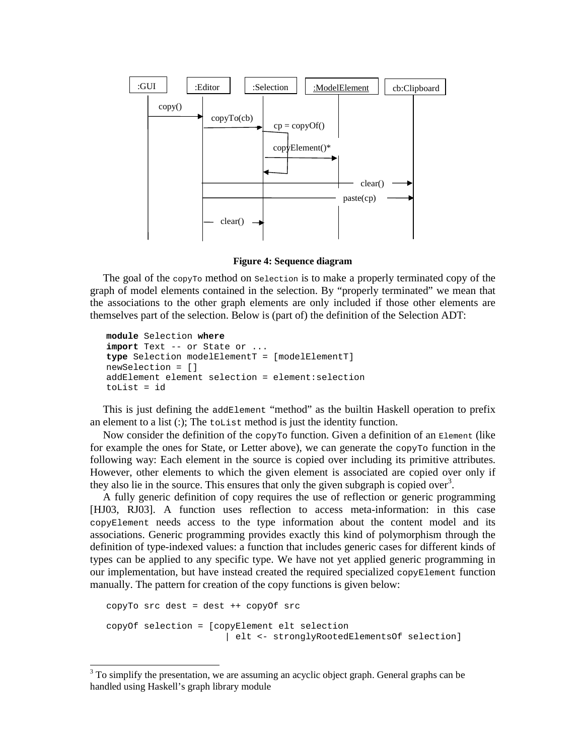

**Figure 4: Sequence diagram** 

The goal of the  $_{\rm copyTo}$  method on selection is to make a properly terminated copy of the graph of model elements contained in the selection. By "properly terminated" we mean that the associations to the other graph elements are only included if those other elements are themselves part of the selection. Below is (part of) the definition of the Selection ADT:

```
module Selection where
import Text -- or State or ... 
type Selection modelElementT = [modelElementT] 
newSelection = [] 
addElement element selection = element:selection 
toList = id
```
This is just defining the addElement "method" as the builtin Haskell operation to prefix an element to a list  $(.)$ ; The tolast method is just the identity function.

Now consider the definition of the copy To function. Given a definition of an Element (like for example the ones for State, or Letter above), we can generate the copy To function in the following way: Each element in the source is copied over including its primitive attributes. However, other elements to which the given element is associated are copied over only if they also lie in the source. This ensures that only the given subgraph is copied over<sup>3</sup>.

A fully generic definition of copy requires the use of reflection or generic programming [HJ03, RJ03]. A function uses reflection to access meta-information: in this case copyElement needs access to the type information about the content model and its associations. Generic programming provides exactly this kind of polymorphism through the definition of type-indexed values: a function that includes generic cases for different kinds of types can be applied to any specific type. We have not yet applied generic programming in our implementation, but have instead created the required specialized copyElement function manually. The pattern for creation of the copy functions is given below:

```
copyTo src dest = dest ++ copyOf src 
copyOf selection = [copyElement elt selection 
                        | elt <- stronglyRootedElementsOf selection]
```
-

 $3$  To simplify the presentation, we are assuming an acyclic object graph. General graphs can be handled using Haskell's graph library module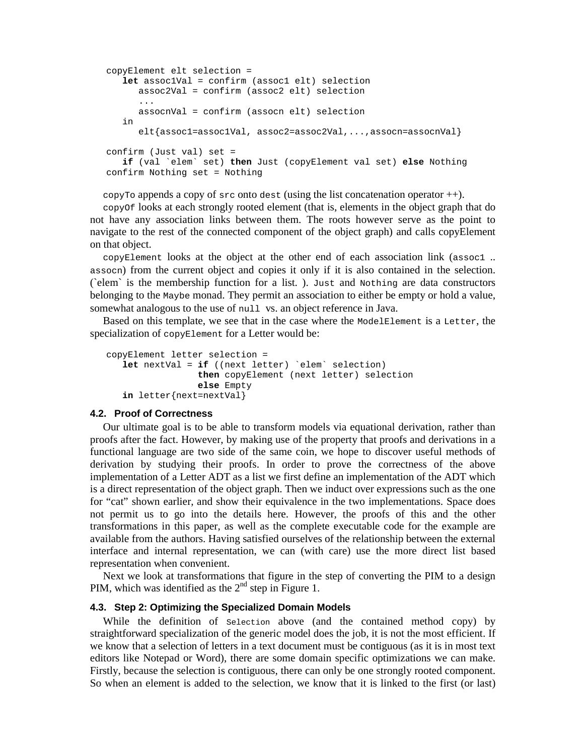```
copyElement elt selection = 
   let assoc1Val = confirm (assoc1 elt) selection 
       assoc2Val = confirm (assoc2 elt) selection 
       ... 
       assocnVal = confirm (assocn elt) selection 
    in 
      elt{assoc1=assoc1Val, assoc2=assoc2Val,...,assocn=assocnVal}
confirm (Just val) set = 
   if (val `elem` set) then Just (copyElement val set) else Nothing 
confirm Nothing set = Nothing
```
copyTo appends a copy of  $src$  onto dest (using the list concatenation operator  $++$ ).

copyOf looks at each strongly rooted element (that is, elements in the object graph that do not have any association links between them. The roots however serve as the point to navigate to the rest of the connected component of the object graph) and calls copyElement on that object.

 $\text{copyElement}$  looks at the object at the other end of each association link (assoc1... assocn) from the current object and copies it only if it is also contained in the selection. (`elem` is the membership function for a list. ). Just and Nothing are data constructors belonging to the Maybe monad. They permit an association to either be empty or hold a value, somewhat analogous to the use of null vs. an object reference in Java.

Based on this template, we see that in the case where the ModelElement is a Letter, the specialization of copyElement for a Letter would be:

```
copyElement letter selection = 
   let nextVal = if ((next letter) `elem` selection) 
                  then copyElement (next letter) selection 
                  else Empty 
   in letter{next=nextVal}
```
## **4.2. Proof of Correctness**

Our ultimate goal is to be able to transform models via equational derivation, rather than proofs after the fact. However, by making use of the property that proofs and derivations in a functional language are two side of the same coin, we hope to discover useful methods of derivation by studying their proofs. In order to prove the correctness of the above implementation of a Letter ADT as a list we first define an implementation of the ADT which is a direct representation of the object graph. Then we induct over expressions such as the one for "cat" shown earlier, and show their equivalence in the two implementations. Space does not permit us to go into the details here. However, the proofs of this and the other transformations in this paper, as well as the complete executable code for the example are available from the authors. Having satisfied ourselves of the relationship between the external interface and internal representation, we can (with care) use the more direct list based representation when convenient.

Next we look at transformations that figure in the step of converting the PIM to a design PIM, which was identified as the  $2<sup>nd</sup>$  step in Figure 1.

#### **4.3. Step 2: Optimizing the Specialized Domain Models**

While the definition of Selection above (and the contained method copy) by straightforward specialization of the generic model does the job, it is not the most efficient. If we know that a selection of letters in a text document must be contiguous (as it is in most text editors like Notepad or Word), there are some domain specific optimizations we can make. Firstly, because the selection is contiguous, there can only be one strongly rooted component. So when an element is added to the selection, we know that it is linked to the first (or last)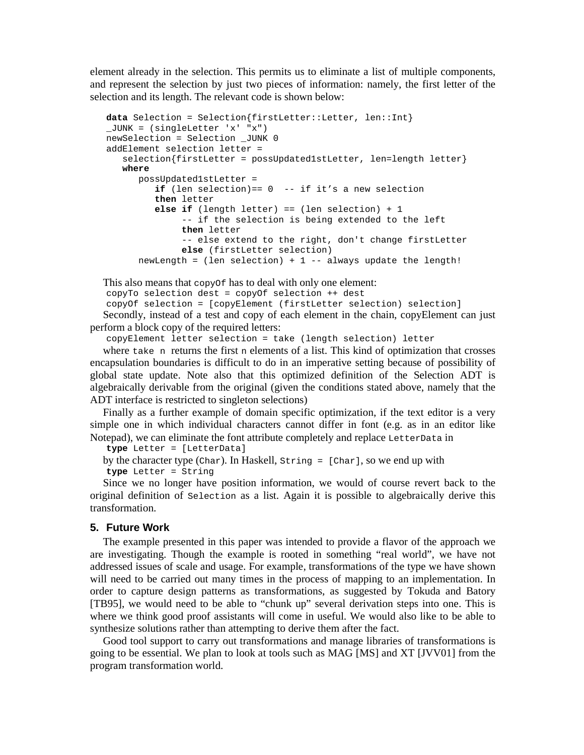element already in the selection. This permits us to eliminate a list of multiple components, and represent the selection by just two pieces of information: namely, the first letter of the selection and its length. The relevant code is shown below:

```
data Selection = Selection{firstLetter::Letter, len::Int} 
_JUNK = (singleLetter 'x' "x") 
newSelection = Selection _JUNK 0 
addElement selection letter = 
    selection{firstLetter = possUpdated1stLetter, len=length letter} 
   where 
       possUpdated1stLetter = 
         if (len selection) == 0 -- if it's a new selection
          then letter 
          else if (length letter) == (len selection) + 1 
               -- if the selection is being extended to the left 
               then letter 
               -- else extend to the right, don't change firstLetter 
               else (firstLetter selection) 
      newLength = (len selection) + 1 -- always update the length!
```

```
This also means that copy of has to deal with only one element:
copyTo selection dest = copyOf selection ++ dest 
copyOf selection = [copyElement (firstLetter selection) selection] 
Secondly, instead of a test and copy of each element in the chain, copyElement can just
```
perform a block copy of the required letters:

copyElement letter selection = take (length selection) letter

where take n returns the first n elements of a list. This kind of optimization that crosses encapsulation boundaries is difficult to do in an imperative setting because of possibility of global state update. Note also that this optimized definition of the Selection ADT is algebraically derivable from the original (given the conditions stated above, namely that the ADT interface is restricted to singleton selections)

Finally as a further example of domain specific optimization, if the text editor is a very simple one in which individual characters cannot differ in font (e.g. as in an editor like Notepad), we can eliminate the font attribute completely and replace LetterData in

```
type Letter = [LetterData]
```

```
by the character type (Char). In Haskell, String = [Char], so we end up with 
type Letter = String
```
Since we no longer have position information, we would of course revert back to the original definition of Selection as a list. Again it is possible to algebraically derive this transformation.

# **5. Future Work**

The example presented in this paper was intended to provide a flavor of the approach we are investigating. Though the example is rooted in something "real world", we have not addressed issues of scale and usage. For example, transformations of the type we have shown will need to be carried out many times in the process of mapping to an implementation. In order to capture design patterns as transformations, as suggested by Tokuda and Batory [TB95], we would need to be able to "chunk up" several derivation steps into one. This is where we think good proof assistants will come in useful. We would also like to be able to synthesize solutions rather than attempting to derive them after the fact.

Good tool support to carry out transformations and manage libraries of transformations is going to be essential. We plan to look at tools such as MAG [MS] and XT [JVV01] from the program transformation world.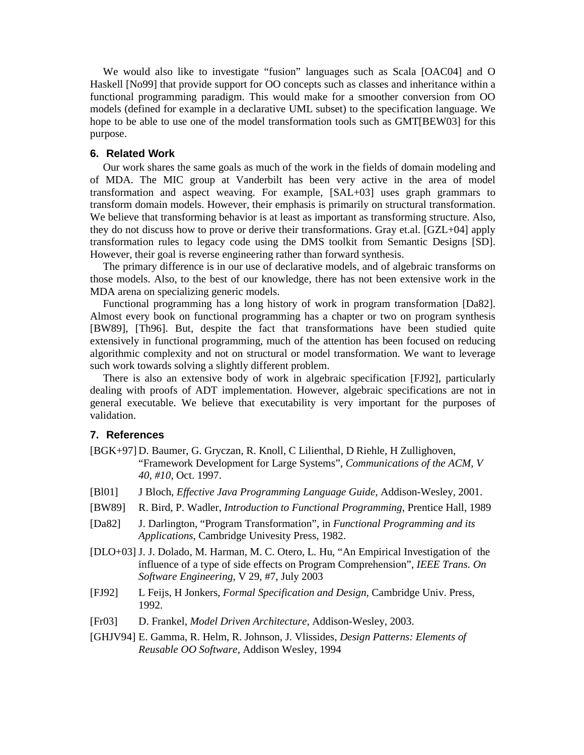We would also like to investigate "fusion" languages such as Scala [OAC04] and O Haskell [No99] that provide support for OO concepts such as classes and inheritance within a functional programming paradigm. This would make for a smoother conversion from OO models (defined for example in a declarative UML subset) to the specification language. We hope to be able to use one of the model transformation tools such as GMT[BEW03] for this purpose.

## **6. Related Work**

Our work shares the same goals as much of the work in the fields of domain modeling and of MDA. The MIC group at Vanderbilt has been very active in the area of model transformation and aspect weaving. For example, [SAL+03] uses graph grammars to transform domain models. However, their emphasis is primarily on structural transformation. We believe that transforming behavior is at least as important as transforming structure. Also, they do not discuss how to prove or derive their transformations. Gray et.al. [GZL+04] apply transformation rules to legacy code using the DMS toolkit from Semantic Designs [SD]. However, their goal is reverse engineering rather than forward synthesis.

The primary difference is in our use of declarative models, and of algebraic transforms on those models. Also, to the best of our knowledge, there has not been extensive work in the MDA arena on specializing generic models.

Functional programming has a long history of work in program transformation [Da82]. Almost every book on functional programming has a chapter or two on program synthesis [BW89], [Th96]. But, despite the fact that transformations have been studied quite extensively in functional programming, much of the attention has been focused on reducing algorithmic complexity and not on structural or model transformation. We want to leverage such work towards solving a slightly different problem.

There is also an extensive body of work in algebraic specification [FJ92], particularly dealing with proofs of ADT implementation. However, algebraic specifications are not in general executable. We believe that executability is very important for the purposes of validation.

## **7. References**

- [BGK+97] D. Baumer, G. Gryczan, R. Knoll, C Lilienthal, D Riehle, H Zullighoven, "Framework Development for Large Systems", *Communications of the ACM, V 40, #10*, Oct. 1997.
- [Bl01] J Bloch, *Effective Java Programming Language Guide*, Addison-Wesley, 2001.
- [BW89] R. Bird, P. Wadler, *Introduction to Functional Programming*, Prentice Hall, 1989
- [Da82] J. Darlington, "Program Transformation", in *Functional Programming and its Applications*, Cambridge Univesity Press, 1982.
- [DLO+03] J. J. Dolado, M. Harman, M. C. Otero, L. Hu, "An Empirical Investigation of the influence of a type of side effects on Program Comprehension", *IEEE Trans. On Software Engineering*, V 29, #7, July 2003
- [FJ92] L Feijs, H Jonkers, *Formal Specification and Design*, Cambridge Univ. Press, 1992.
- [Fr03] D. Frankel, *Model Driven Architecture*, Addison-Wesley, 2003.
- [GHJV94] E. Gamma, R. Helm, R. Johnson, J. Vlissides, *Design Patterns: Elements of Reusable OO Software*, Addison Wesley, 1994